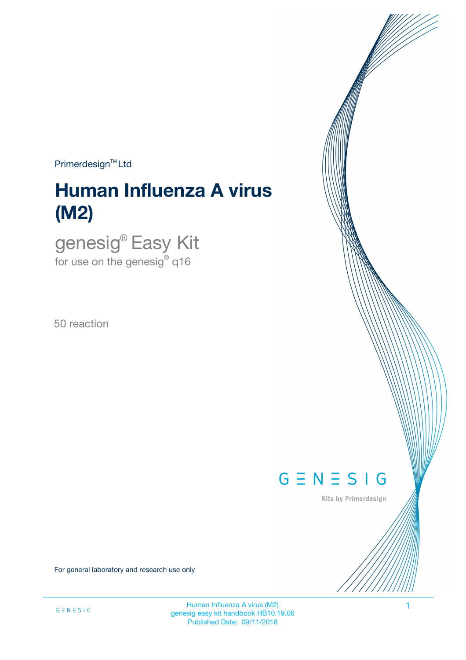$Primerdesign<sup>™</sup>Ltd$ 

# **Human Influenza A virus (M2)**

genesig® Easy Kit for use on the genesig $^\circ$  q16

50 reaction



Kits by Primerdesign

For general laboratory and research use only

Human Influenza A virus (M2) 1 genesig easy kit handbook HB10.19.06 Published Date: 09/11/2018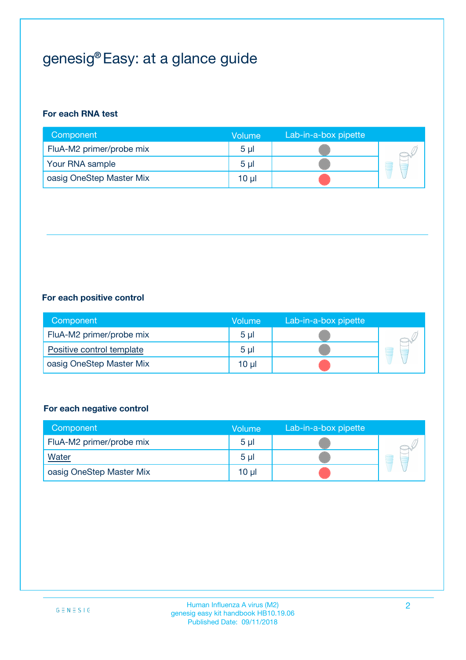# genesig® Easy: at a glance guide

### **For each RNA test**

| Component                | <b>Volume</b>  | Lab-in-a-box pipette |  |
|--------------------------|----------------|----------------------|--|
| FluA-M2 primer/probe mix | 5 <sub>µ</sub> |                      |  |
| Your RNA sample          | 5 <sub>µ</sub> |                      |  |
| oasig OneStep Master Mix | 10 µl          |                      |  |

#### **For each positive control**

| Component                 | Volume         | Lab-in-a-box pipette |  |
|---------------------------|----------------|----------------------|--|
| FluA-M2 primer/probe mix  | 5 <sub>µ</sub> |                      |  |
| Positive control template | 5 <sub>µ</sub> |                      |  |
| oasig OneStep Master Mix  | 10 µl          |                      |  |

### **For each negative control**

| Component                | Volume         | Lab-in-a-box pipette |   |
|--------------------------|----------------|----------------------|---|
| FluA-M2 primer/probe mix | 5 <sub>µ</sub> |                      |   |
| Water                    | 5 <sub>µ</sub> |                      | - |
| oasig OneStep Master Mix | 10 µl          |                      |   |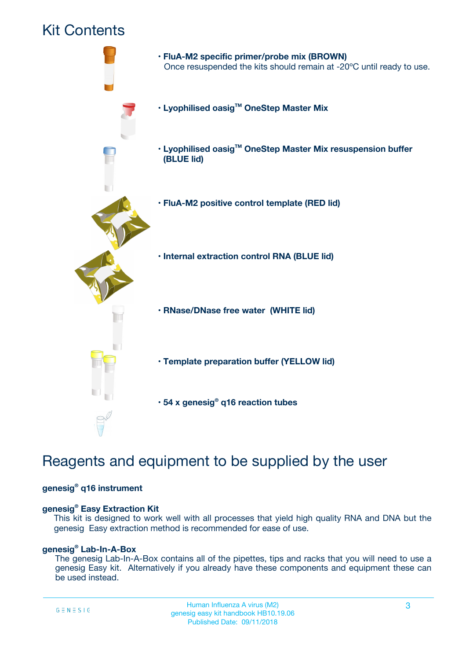## Kit Contents



## Reagents and equipment to be supplied by the user

#### **genesig® q16 instrument**

#### **genesig® Easy Extraction Kit**

This kit is designed to work well with all processes that yield high quality RNA and DNA but the genesig Easy extraction method is recommended for ease of use.

#### **genesig® Lab-In-A-Box**

The genesig Lab-In-A-Box contains all of the pipettes, tips and racks that you will need to use a genesig Easy kit. Alternatively if you already have these components and equipment these can be used instead.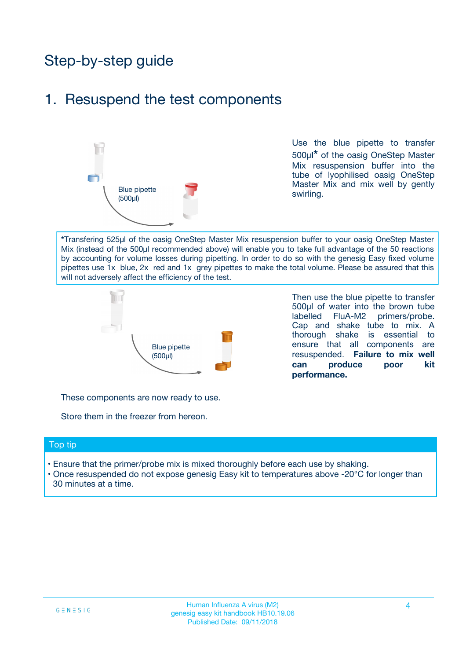# Step-by-step guide

### 1. Resuspend the test components



Use the blue pipette to transfer 500µ**l\*** of the oasig OneStep Master Mix resuspension buffer into the tube of lyophilised oasig OneStep Master Mix and mix well by gently swirling.

**\***Transfering 525µl of the oasig OneStep Master Mix resuspension buffer to your oasig OneStep Master Mix (instead of the 500µl recommended above) will enable you to take full advantage of the 50 reactions by accounting for volume losses during pipetting. In order to do so with the genesig Easy fixed volume pipettes use 1x blue, 2x red and 1x grey pipettes to make the total volume. Please be assured that this will not adversely affect the efficiency of the test.



Then use the blue pipette to transfer 500µl of water into the brown tube labelled FluA-M2 primers/probe. Cap and shake tube to mix. A thorough shake is essential to ensure that all components are resuspended. **Failure to mix well can produce poor kit performance.**

These components are now ready to use.

Store them in the freezer from hereon.

#### Top tip

- Ensure that the primer/probe mix is mixed thoroughly before each use by shaking.
- Once resuspended do not expose genesig Easy kit to temperatures above -20°C for longer than 30 minutes at a time.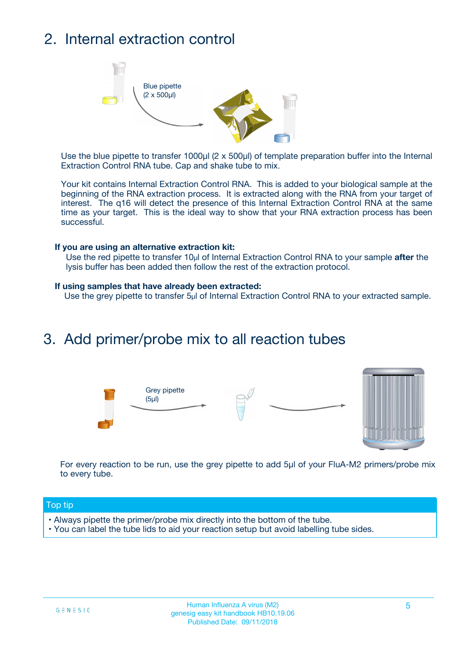# 2. Internal extraction control



Use the blue pipette to transfer 1000µl (2 x 500µl) of template preparation buffer into the Internal Extraction Control RNA tube. Cap and shake tube to mix.

Your kit contains Internal Extraction Control RNA. This is added to your biological sample at the beginning of the RNA extraction process. It is extracted along with the RNA from your target of interest. The q16 will detect the presence of this Internal Extraction Control RNA at the same time as your target. This is the ideal way to show that your RNA extraction process has been successful.

#### **If you are using an alternative extraction kit:**

Use the red pipette to transfer 10µl of Internal Extraction Control RNA to your sample **after** the lysis buffer has been added then follow the rest of the extraction protocol.

#### **If using samples that have already been extracted:**

Use the grey pipette to transfer 5µl of Internal Extraction Control RNA to your extracted sample.

### 3. Add primer/probe mix to all reaction tubes





For every reaction to be run, use the grey pipette to add 5µl of your FluA-M2 primers/probe mix to every tube.

#### Top tip

- Always pipette the primer/probe mix directly into the bottom of the tube.
- You can label the tube lids to aid your reaction setup but avoid labelling tube sides.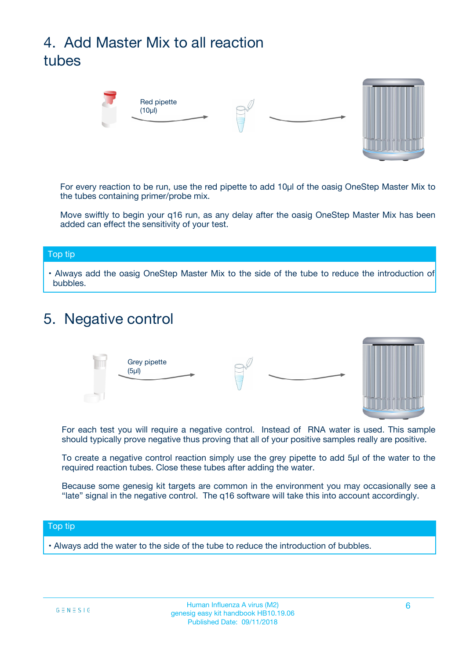# 4. Add Master Mix to all reaction tubes



For every reaction to be run, use the red pipette to add 10µl of the oasig OneStep Master Mix to the tubes containing primer/probe mix.

Move swiftly to begin your q16 run, as any delay after the oasig OneStep Master Mix has been added can effect the sensitivity of your test.

#### Top tip

**•** Always add the oasig OneStep Master Mix to the side of the tube to reduce the introduction of bubbles.

### 5. Negative control



For each test you will require a negative control. Instead of RNA water is used. This sample should typically prove negative thus proving that all of your positive samples really are positive.

To create a negative control reaction simply use the grey pipette to add 5µl of the water to the required reaction tubes. Close these tubes after adding the water.

Because some genesig kit targets are common in the environment you may occasionally see a "late" signal in the negative control. The q16 software will take this into account accordingly.

#### Top tip

**•** Always add the water to the side of the tube to reduce the introduction of bubbles.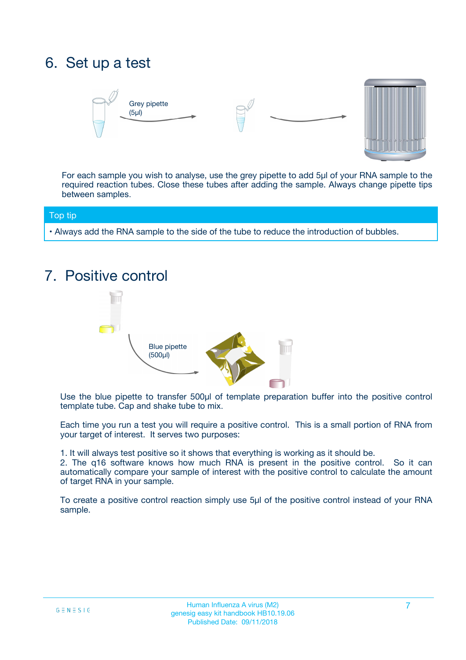## 6. Set up a test





For each sample you wish to analyse, use the grey pipette to add 5µl of your RNA sample to the required reaction tubes. Close these tubes after adding the sample. Always change pipette tips between samples.

#### Top tip

**•** Always add the RNA sample to the side of the tube to reduce the introduction of bubbles.

## 7. Positive control



Use the blue pipette to transfer 500µl of template preparation buffer into the positive control template tube. Cap and shake tube to mix.

Each time you run a test you will require a positive control. This is a small portion of RNA from your target of interest. It serves two purposes:

1. It will always test positive so it shows that everything is working as it should be.

2. The q16 software knows how much RNA is present in the positive control. So it can automatically compare your sample of interest with the positive control to calculate the amount of target RNA in your sample.

To create a positive control reaction simply use 5µl of the positive control instead of your RNA sample.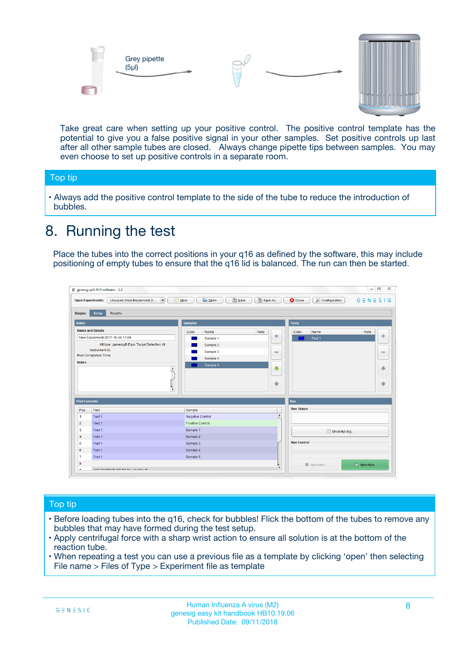



Take great care when setting up your positive control. The positive control template has the potential to give you a false positive signal in your other samples. Set positive controls up last after all other sample tubes are closed. Always change pipette tips between samples. You may even choose to set up positive controls in a separate room.

#### Top tip

**•** Always add the positive control template to the side of the tube to reduce the introduction of bubbles.

## 8. Running the test

Place the tubes into the correct positions in your q16 as defined by the software, this may include positioning of empty tubes to ensure that the q16 lid is balanced. The run can then be started.

|                      | genesig q16 PCR software - 1.2                                               |                                                | $= 0$<br>$\Sigma\!3$                                            |
|----------------------|------------------------------------------------------------------------------|------------------------------------------------|-----------------------------------------------------------------|
|                      | $\vert \cdot \vert$<br>Unsaved (New Experiment 2<br><b>Open Experiments:</b> | <b>E</b> Open<br>Save<br>Save As<br>$\Box$ New | <b>C</b> Close<br>$G \equiv N \equiv S \mid G$<br>Configuration |
| <b>Stages:</b>       | Setup<br><b>Results</b>                                                      |                                                |                                                                 |
| <b>Notes</b>         |                                                                              | <b>Samples</b>                                 | <b>Tests</b>                                                    |
|                      | <b>Name and Details</b>                                                      | Color<br>Note<br>Name                          | Name<br>Note<br>Color                                           |
|                      | New Experiment 2017-10-26 11:06                                              | على<br>Sample 1                                | $\ddot{\Phi}$<br>Test 1                                         |
|                      | Kit type: genesig® Easy Target Detection kit                                 | Sample 2                                       |                                                                 |
| Instrument Id.:      |                                                                              | Sample 3<br>$\equiv$                           | $\equiv$                                                        |
|                      | Run Completion Time:                                                         | Sample 4                                       |                                                                 |
| <b>Notes</b>         | $\blacktriangle$                                                             | Sample 5<br>♦                                  | 4                                                               |
|                      | $\overline{\mathbf{v}}$                                                      | ÷                                              | ⊕                                                               |
| <b>Well Contents</b> |                                                                              |                                                | Run                                                             |
| Pos.                 | Test                                                                         | Sample                                         | <b>Run Status</b>                                               |
| $\blacktriangleleft$ | Test 1                                                                       | $\blacktriangle$<br>Negative Control           |                                                                 |
| $\overline{2}$       | Test 1                                                                       | <b>Positive Control</b>                        |                                                                 |
| 3                    | Test 1                                                                       | Sample 1                                       | Show full log                                                   |
| $\overline{4}$       | Test 1                                                                       | Sample 2                                       |                                                                 |
| 5                    | Test 1                                                                       | Sample 3                                       | <b>Run Control</b>                                              |
| 6                    | Test 1                                                                       | Sample 4                                       |                                                                 |
| $\overline{7}$       | Test 1                                                                       | Sample 5                                       |                                                                 |
| 8                    |                                                                              |                                                | $\triangleright$ Start Run<br>Abort Run                         |
|                      | <b>INN FURTY TURE TO BUILDING UP.</b>                                        | $\pmb{\triangledown}$                          |                                                                 |

#### Top tip

- Before loading tubes into the q16, check for bubbles! Flick the bottom of the tubes to remove any bubbles that may have formed during the test setup.
- Apply centrifugal force with a sharp wrist action to ensure all solution is at the bottom of the reaction tube.
- When repeating a test you can use a previous file as a template by clicking 'open' then selecting File name > Files of Type > Experiment file as template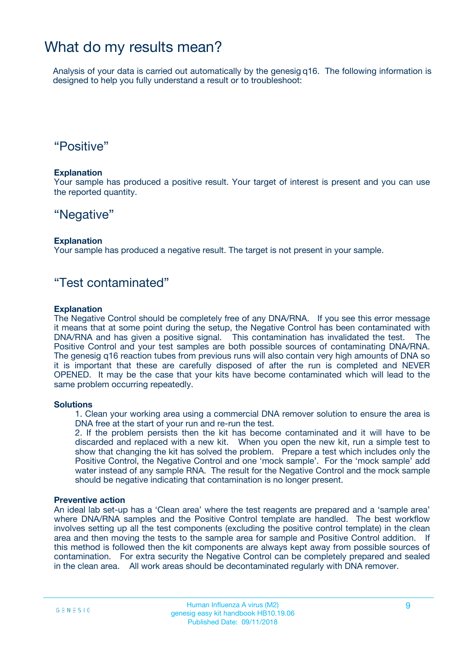### What do my results mean?

Analysis of your data is carried out automatically by the genesig q16. The following information is designed to help you fully understand a result or to troubleshoot:

### "Positive"

#### **Explanation**

Your sample has produced a positive result. Your target of interest is present and you can use the reported quantity.

### "Negative"

#### **Explanation**

Your sample has produced a negative result. The target is not present in your sample.

### "Test contaminated"

#### **Explanation**

The Negative Control should be completely free of any DNA/RNA. If you see this error message it means that at some point during the setup, the Negative Control has been contaminated with DNA/RNA and has given a positive signal. This contamination has invalidated the test. The Positive Control and your test samples are both possible sources of contaminating DNA/RNA. The genesig q16 reaction tubes from previous runs will also contain very high amounts of DNA so it is important that these are carefully disposed of after the run is completed and NEVER OPENED. It may be the case that your kits have become contaminated which will lead to the same problem occurring repeatedly.

#### **Solutions**

1. Clean your working area using a commercial DNA remover solution to ensure the area is DNA free at the start of your run and re-run the test.

2. If the problem persists then the kit has become contaminated and it will have to be discarded and replaced with a new kit. When you open the new kit, run a simple test to show that changing the kit has solved the problem. Prepare a test which includes only the Positive Control, the Negative Control and one 'mock sample'. For the 'mock sample' add water instead of any sample RNA. The result for the Negative Control and the mock sample should be negative indicating that contamination is no longer present.

#### **Preventive action**

An ideal lab set-up has a 'Clean area' where the test reagents are prepared and a 'sample area' where DNA/RNA samples and the Positive Control template are handled. The best workflow involves setting up all the test components (excluding the positive control template) in the clean area and then moving the tests to the sample area for sample and Positive Control addition. If this method is followed then the kit components are always kept away from possible sources of contamination. For extra security the Negative Control can be completely prepared and sealed in the clean area. All work areas should be decontaminated regularly with DNA remover.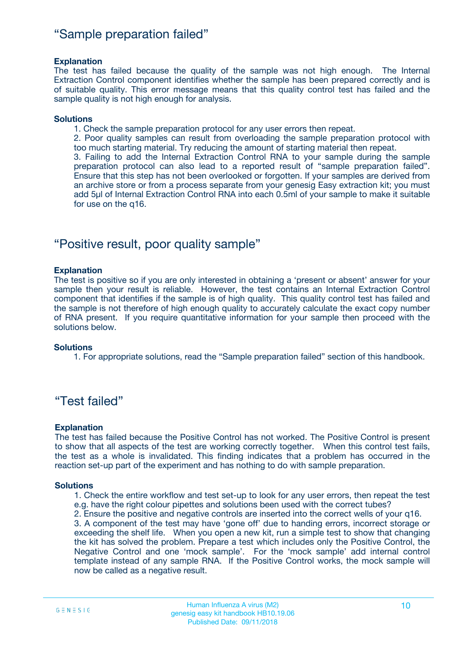### "Sample preparation failed"

#### **Explanation**

The test has failed because the quality of the sample was not high enough. The Internal Extraction Control component identifies whether the sample has been prepared correctly and is of suitable quality. This error message means that this quality control test has failed and the sample quality is not high enough for analysis.

#### **Solutions**

1. Check the sample preparation protocol for any user errors then repeat.

2. Poor quality samples can result from overloading the sample preparation protocol with too much starting material. Try reducing the amount of starting material then repeat.

3. Failing to add the Internal Extraction Control RNA to your sample during the sample preparation protocol can also lead to a reported result of "sample preparation failed". Ensure that this step has not been overlooked or forgotten. If your samples are derived from an archive store or from a process separate from your genesig Easy extraction kit; you must add 5µl of Internal Extraction Control RNA into each 0.5ml of your sample to make it suitable for use on the q16.

### "Positive result, poor quality sample"

#### **Explanation**

The test is positive so if you are only interested in obtaining a 'present or absent' answer for your sample then your result is reliable. However, the test contains an Internal Extraction Control component that identifies if the sample is of high quality. This quality control test has failed and the sample is not therefore of high enough quality to accurately calculate the exact copy number of RNA present. If you require quantitative information for your sample then proceed with the solutions below.

#### **Solutions**

1. For appropriate solutions, read the "Sample preparation failed" section of this handbook.

### "Test failed"

#### **Explanation**

The test has failed because the Positive Control has not worked. The Positive Control is present to show that all aspects of the test are working correctly together. When this control test fails, the test as a whole is invalidated. This finding indicates that a problem has occurred in the reaction set-up part of the experiment and has nothing to do with sample preparation.

#### **Solutions**

- 1. Check the entire workflow and test set-up to look for any user errors, then repeat the test e.g. have the right colour pipettes and solutions been used with the correct tubes?
- 2. Ensure the positive and negative controls are inserted into the correct wells of your q16.

3. A component of the test may have 'gone off' due to handing errors, incorrect storage or exceeding the shelf life. When you open a new kit, run a simple test to show that changing the kit has solved the problem. Prepare a test which includes only the Positive Control, the Negative Control and one 'mock sample'. For the 'mock sample' add internal control template instead of any sample RNA. If the Positive Control works, the mock sample will now be called as a negative result.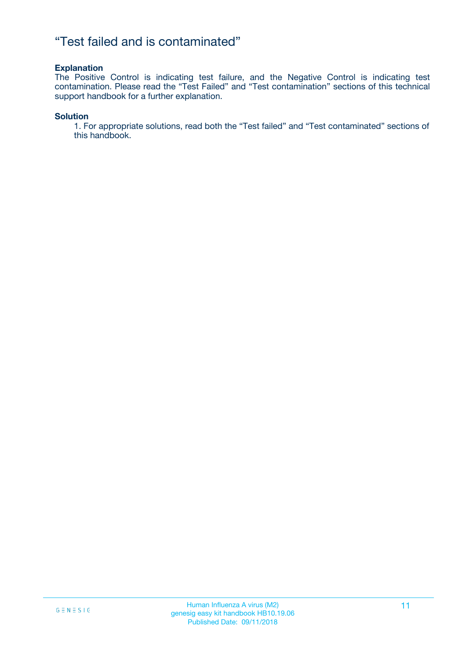### "Test failed and is contaminated"

#### **Explanation**

The Positive Control is indicating test failure, and the Negative Control is indicating test contamination. Please read the "Test Failed" and "Test contamination" sections of this technical support handbook for a further explanation.

#### **Solution**

1. For appropriate solutions, read both the "Test failed" and "Test contaminated" sections of this handbook.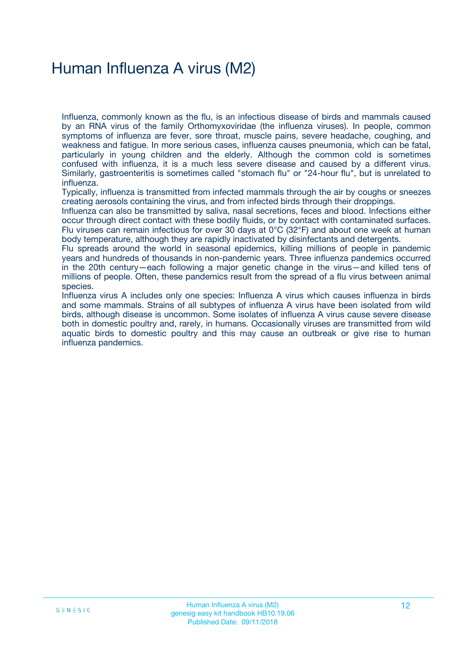# Human Influenza A virus (M2)

Influenza, commonly known as the flu, is an infectious disease of birds and mammals caused by an RNA virus of the family Orthomyxoviridae (the influenza viruses). In people, common symptoms of influenza are fever, sore throat, muscle pains, severe headache, coughing, and weakness and fatigue. In more serious cases, influenza causes pneumonia, which can be fatal, particularly in young children and the elderly. Although the common cold is sometimes confused with influenza, it is a much less severe disease and caused by a different virus. Similarly, gastroenteritis is sometimes called "stomach flu" or "24-hour flu", but is unrelated to influenza.

Typically, influenza is transmitted from infected mammals through the air by coughs or sneezes creating aerosols containing the virus, and from infected birds through their droppings.

Influenza can also be transmitted by saliva, nasal secretions, feces and blood. Infections either occur through direct contact with these bodily fluids, or by contact with contaminated surfaces. Flu viruses can remain infectious for over 30 days at 0°C (32°F) and about one week at human body temperature, although they are rapidly inactivated by disinfectants and detergents.

Flu spreads around the world in seasonal epidemics, killing millions of people in pandemic years and hundreds of thousands in non-pandemic years. Three influenza pandemics occurred in the 20th century—each following a major genetic change in the virus—and killed tens of millions of people. Often, these pandemics result from the spread of a flu virus between animal species.

Influenza virus A includes only one species: Influenza A virus which causes influenza in birds and some mammals. Strains of all subtypes of influenza A virus have been isolated from wild birds, although disease is uncommon. Some isolates of influenza A virus cause severe disease both in domestic poultry and, rarely, in humans. Occasionally viruses are transmitted from wild aquatic birds to domestic poultry and this may cause an outbreak or give rise to human influenza pandemics.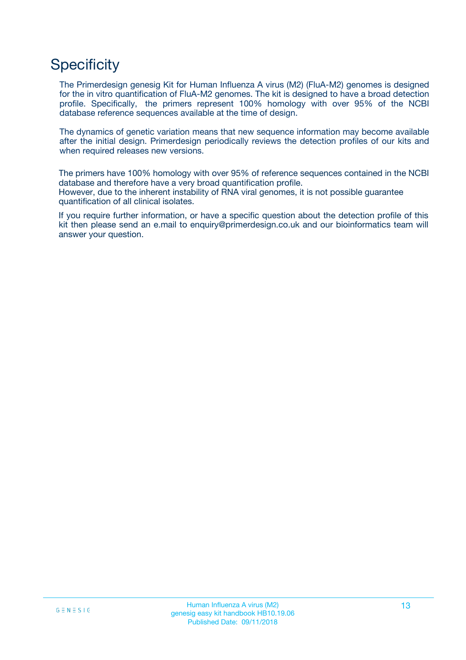# **Specificity**

The Primerdesign genesig Kit for Human Influenza A virus (M2) (FluA-M2) genomes is designed for the in vitro quantification of FluA-M2 genomes. The kit is designed to have a broad detection profile. Specifically, the primers represent 100% homology with over 95% of the NCBI database reference sequences available at the time of design.

The dynamics of genetic variation means that new sequence information may become available after the initial design. Primerdesign periodically reviews the detection profiles of our kits and when required releases new versions.

The primers have 100% homology with over 95% of reference sequences contained in the NCBI database and therefore have a very broad quantification profile. However, due to the inherent instability of RNA viral genomes, it is not possible guarantee quantification of all clinical isolates.

If you require further information, or have a specific question about the detection profile of this kit then please send an e.mail to enquiry@primerdesign.co.uk and our bioinformatics team will answer your question.